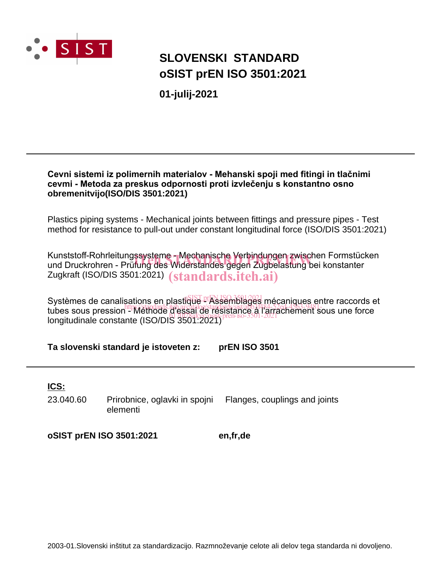

## **SLOVENSKI STANDARD oSIST prEN ISO 3501:2021**

**01-julij-2021**

#### **Cevni sistemi iz polimernih materialov - Mehanski spoji med fitingi in tlačnimi cevmi - Metoda za preskus odpornosti proti izvlečenju s konstantno osno obremenitvijo(ISO/DIS 3501:2021)**

Plastics piping systems - Mechanical joints between fittings and pressure pipes - Test method for resistance to pull-out under constant longitudinal force (ISO/DIS 3501:2021)

Kunststoff-Rohrleitungssysteme - Mechanische Verbindungen zwischen Formstücken Kunststoff-Rohrleitungssysteme - Mechanische Verbindungen zwischen Formstücl<br>und Druckrohren - Prüfung des Widerstandes gegen Zugbelastung bei konstanter Zugkraft (ISO/DIS 3501:2021) (standards.iteh.ai)

Systèmes de canalisations en plastique - Assemblages mécaniques entre raccords et Unes sous pression - Méthode d'essai de résistance à l'arrachement sous une force longitudinale constante (ISO/DIS 3501:2021) b170f78afcec/osist-pren-iso-3501-2021

**Ta slovenski standard je istoveten z: prEN ISO 3501**

**ICS:**

23.040.60 Prirobnice, oglavki in spojni elementi Flanges, couplings and joints

**oSIST prEN ISO 3501:2021 en,fr,de**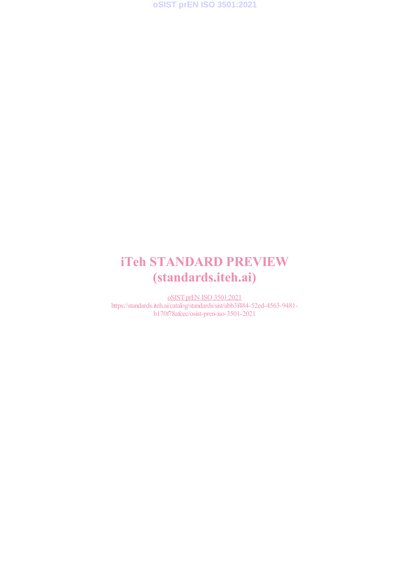**oSIST prEN ISO 3501:2021**

# iTeh STANDARD PREVIEW (standards.iteh.ai)

oSIST prEN ISO 3501:2021 https://standards.iteh.ai/catalog/standards/sist/abb3f484-52ed-4563-9481 b170f78afcec/osist-pren-iso-3501-2021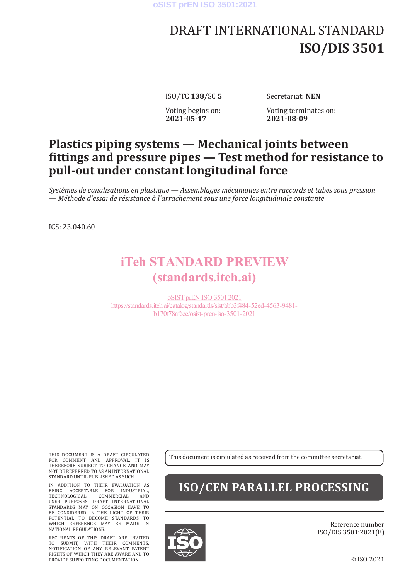# DRAFT INTERNATIONAL STANDARD **ISO/DIS 3501**

ISO/TC **138**/SC **5** Secretariat: **NEN**

Voting begins on: Voting terminates on:<br>2021-05-17 2021-08-09 **2021-05-17 2021-08-09**

## **Plastics piping systems — Mechanical joints between fittings and pressure pipes — Test method for resistance to pull-out under constant longitudinal force**

*Systèmes de canalisations en plastique — Assemblages mécaniques entre raccords et tubes sous pression — Méthode d'essai de résistance à l'arrachement sous une force longitudinale constante*

ICS: 23.040.60

# iTeh STANDARD PREVIEW (standards.iteh.ai)

oSIST prEN ISO 3501:2021 https://standards.iteh.ai/catalog/standards/sist/abb3f484-52ed-4563-9481 b170f78afcec/osist-pren-iso-3501-2021

THIS DOCUMENT IS A DRAFT CIRCULATED FOR COMMENT AND APPROVAL. IT IS THEREFORE SUBJECT TO CHANGE AND MAY NOT BE REFERRED TO AS AN INTERNATIONAL STANDARD UNTIL PUBLISHED AS SUCH.

IN ADDITION TO THEIR EVALUATION AS BEING ACCEPTABLE FOR INDUSTRIAL, TECHNOLOGICAL, COMMERCIAL AND USER PURPOSES, DRAFT INTERNATIONAL STANDARDS MAY ON OCCASION HAVE TO BE CONSIDERED IN THE LIGHT OF THEIR POTENTIAL TO BECOME STANDARDS TO WHICH REFERENCE MAY BE MADE IN NATIONAL REGULATIONS.

RECIPIENTS OF THIS DRAFT ARE INVITED TO SUBMIT, WITH THEIR COMMENTS, NOTIFICATION OF ANY RELEVANT PATENT RIGHTS OF WHICH THEY ARE AWARE AND TO PROVIDE SUPPORTING DOCUMENTATION.

This document is circulated as received from the committee secretariat.

# **ISO/CEN PARALLEL PROCESSING**



Reference number ISO/DIS 3501:2021(E)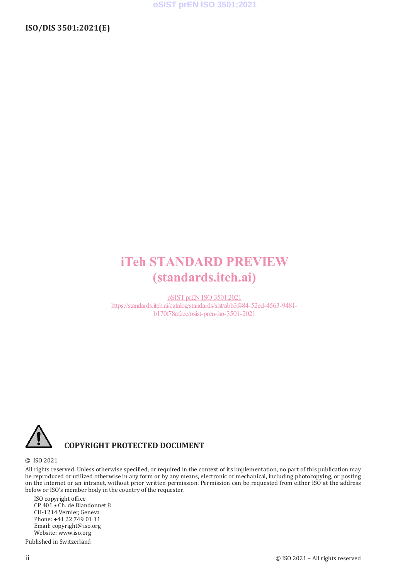# iTeh STANDARD PREVIEW (standards.iteh.ai)

oSIST prEN ISO 3501:2021 https://standards.iteh.ai/catalog/standards/sist/abb3f484-52ed-4563-9481 b170f78afcec/osist-pren-iso-3501-2021



### **COPYRIGHT PROTECTED DOCUMENT**

#### © ISO 2021

All rights reserved. Unless otherwise specified, or required in the context of its implementation, no part of this publication may be reproduced or utilized otherwise in any form or by any means, electronic or mechanical, including photocopying, or posting on the internet or an intranet, without prior written permission. Permission can be requested from either ISO at the address below or ISO's member body in the country of the requester.

ISO copyright office CP 401 • Ch. de Blandonnet 8 CH-1214 Vernier, Geneva Phone: +41 22 749 01 11 Email: copyright@iso.org Website: www.iso.org Published in Switzerland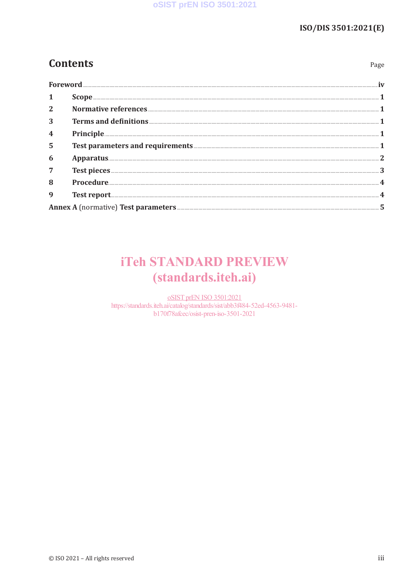Page

## **Contents**

|                  | $\textbf{Scope} \textit{} \textit{} \textit{} \textit{} \textit{} \textit{} \textit{} \textit{} \textit{} \textit{} \textit{} \textit{} \textit{} \textit{} \textit{} \textit{} \textit{} \textit{} \textit{} \textit{} \textit{} \textit{} \textit{} \textit{} \textit{} \textit{} \textit{} \textit{} \textit{} \textit{} \textit{} \textit{} \textit{} \textit{} \textit{} \textit{$ |
|------------------|-----------------------------------------------------------------------------------------------------------------------------------------------------------------------------------------------------------------------------------------------------------------------------------------------------------------------------------------------------------------------------------------|
| 2                |                                                                                                                                                                                                                                                                                                                                                                                         |
| 3                |                                                                                                                                                                                                                                                                                                                                                                                         |
| $\boldsymbol{4}$ |                                                                                                                                                                                                                                                                                                                                                                                         |
| 5                | Test parameters and requirements <b>and construct the construction of the construction</b>                                                                                                                                                                                                                                                                                              |
| 6                |                                                                                                                                                                                                                                                                                                                                                                                         |
| 7                | Test pieces <b>with a construction of the construction of the construction of the construction of the construction of the construction of the construction of the construction of the construction of the construction of the co</b>                                                                                                                                                    |
| 8                |                                                                                                                                                                                                                                                                                                                                                                                         |
| 9                |                                                                                                                                                                                                                                                                                                                                                                                         |
|                  |                                                                                                                                                                                                                                                                                                                                                                                         |

# **iTeh STANDARD PREVIEW** (standards.iteh.ai)

oSIST prEN ISO 3501:2021 https://standards.iteh.ai/catalog/standards/sist/abb3f484-52ed-4563-9481b170f78afcec/osist-pren-iso-3501-2021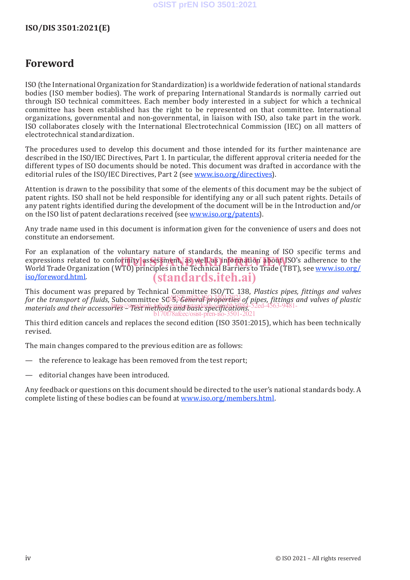### **Foreword**

ISO (the International Organization for Standardization) is a worldwide federation of national standards bodies (ISO member bodies). The work of preparing International Standards is normally carried out through ISO technical committees. Each member body interested in a subject for which a technical committee has been established has the right to be represented on that committee. International organizations, governmental and non-governmental, in liaison with ISO, also take part in the work. ISO collaborates closely with the International Electrotechnical Commission (IEC) on all matters of electrotechnical standardization.

The procedures used to develop this document and those intended for its further maintenance are described in the ISO/IEC Directives, Part 1. In particular, the different approval criteria needed for the different types of ISO documents should be noted. This document was drafted in accordance with the editorial rules of the ISO/IEC Directives, Part 2 (see www.iso.org/directives).

Attention is drawn to the possibility that some of the elements of this document may be the subject of patent rights. ISO shall not be held responsible for identifying any or all such patent rights. Details of any patent rights identified during the development of the document will be in the Introduction and/or on the ISO list of patent declarations received (see www.iso.org/patents).

Any trade name used in this document is information given for the convenience of users and does not constitute an endorsement.

For an explanation of the voluntary nature of standards, the meaning of ISO specific terms and expressions related to conformity assessment, as well as information about ISO's adherence to the<br>World Trade Organization (WTO) principles in the Technical Barriers to Trade (TBT), see www.iso.org/ World Trade Organization (WTO) principles in the Technical Barriers to Trade (TBT), see www.iso.org/ iso/foreword.html. (standards.iteh.ai)

This document was prepared by Technical Committee ISO/TC 138, *Plastics pipes, fittings and valves for the transport of fluids*, Subcommittee SC 5, *General properties of pipes, fittings and valves of plastic for the transport of fluids*, Subcommittee SC 5, *General properties of pipes, fittings and valves of plastic* of the transport by fame, basic methods and basic specifications. F2ed-4563-9481-<br>materials and their accessories – Test methods and basic specifications. b170f78afcec/osist-pren-iso-3501-2021

This third edition cancels and replaces the second edition (ISO 3501:2015), which has been technically revised.

The main changes compared to the previous edition are as follows:

- the reference to leakage has been removed from the test report;
- editorial changes have been introduced.

Any feedback or questions on this document should be directed to the user's national standards body. A complete listing of these bodies can be found at www.iso.org/members.html.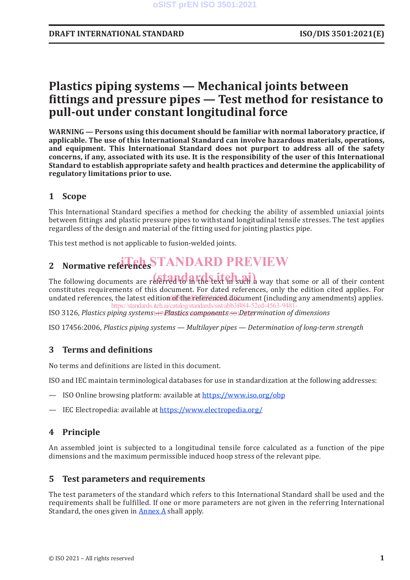#### **DRAFT INTERNATIONAL STANDARD ISO/DIS 3501:2021(E)**

## **Plastics piping systems — Mechanical joints between fittings and pressure pipes — Test method for resistance to pull-out under constant longitudinal force**

**WARNING — Persons using this document should be familiar with normal laboratory practice, if applicable. The use of this International Standard can involve hazardous materials, operations, and equipment. This International Standard does not purport to address all of the safety concerns, if any, associated with its use. It is the responsibility of the user of this International Standard to establish appropriate safety and health practices and determine the applicability of regulatory limitations prior to use.**

### **1 Scope**

This International Standard specifies a method for checking the ability of assembled uniaxial joints between fittings and plastic pressure pipes to withstand longitudinal tensile stresses. The test applies regardless of the design and material of the fitting used for jointing plastics pipe.

This test method is not applicable to fusion-welded joints.

# 2 Normative references **STANDARD PREVIEW**

The following documents are referred to in the text in such a way that some or all of their content constitutes requirements of this document. For dated references, only the edition cited applies. For undated references, the latest edition of the referenced document (including any amendments) applies. https://standards.iteh.ai/catalog/standards/sist/abb3f484-52ed-4563-9481-

ISO 3126, *Plastics piping systems — Plastics components — Determination of dimensions* b170f78afcec/osist-pren-iso-3501-2021

ISO 17456:2006, *Plastics piping systems — Multilayer pipes — Determination of long-term strength*

#### **3 Terms and definitions**

No terms and definitions are listed in this document.

ISO and IEC maintain terminological databases for use in standardization at the following addresses:

- ISO Online browsing platform: available at https://www.iso.org/obp
- IEC Electropedia: available at https://www.electropedia.org/

#### **4 Principle**

An assembled joint is subjected to a longitudinal tensile force calculated as a function of the pipe dimensions and the maximum permissible induced hoop stress of the relevant pipe.

#### **5 Test parameters and requirements**

The test parameters of the standard which refers to this International Standard shall be used and the requirements shall be fulfilled. If one or more parameters are not given in the referring International Standard, the ones given in Annex A shall apply.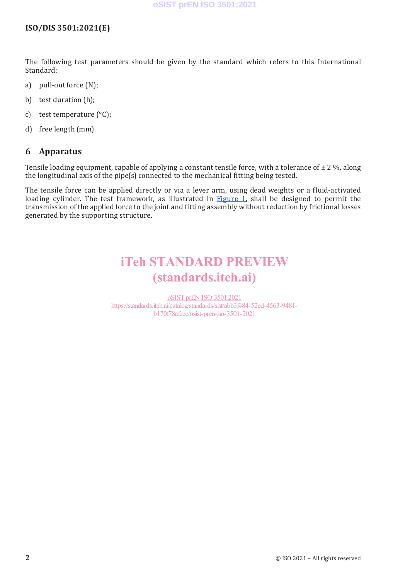The following test parameters should be given by the standard which refers to this International Standard:

- a) pull-out force (N);
- b) test duration (h);
- c) test temperature (°C);
- d) free length (mm).

### **6 Apparatus**

Tensile loading equipment, capable of applying a constant tensile force, with a tolerance of  $\pm 2\%$ , along the longitudinal axis of the pipe(s) connected to the mechanical fitting being tested.

The tensile force can be applied directly or via a lever arm, using dead weights or a fluid-activated loading cylinder. The test framework, as illustrated in Figure 1, shall be designed to permit the transmission of the applied force to the joint and fitting assembly without reduction by frictional losses generated by the supporting structure.

# iTeh STANDARD PREVIEW (standards.iteh.ai)

oSIST prEN ISO 3501:2021 https://standards.iteh.ai/catalog/standards/sist/abb3f484-52ed-4563-9481 b170f78afcec/osist-pren-iso-3501-2021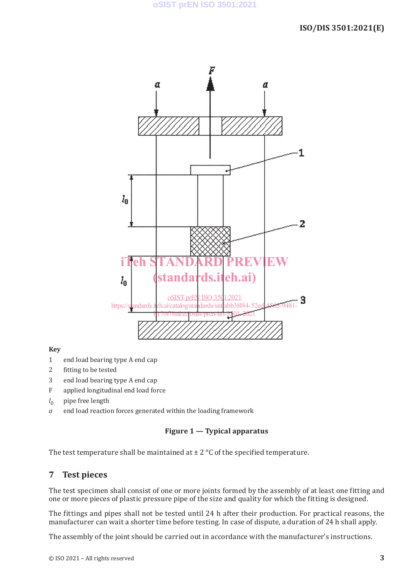

#### **Key**

- 1 end load bearing type A end cap
- 2 fitting to be tested
- 3 end load bearing type A end cap
- F applied longitudinal end load force
- *l* pipe free length
- *a* end load reaction forces generated within the loading framework

#### **Figure 1 — Typical apparatus**

The test temperature shall be maintained at  $\pm 2$  °C of the specified temperature.

### **7 Test pieces**

The test specimen shall consist of one or more joints formed by the assembly of at least one fitting and one or more pieces of plastic pressure pipe of the size and quality for which the fitting is designed.

The fittings and pipes shall not be tested until 24 h after their production. For practical reasons, the manufacturer can wait a shorter time before testing. In case of dispute, a duration of 24 h shall apply.

The assembly of the joint should be carried out in accordance with the manufacturer's instructions.